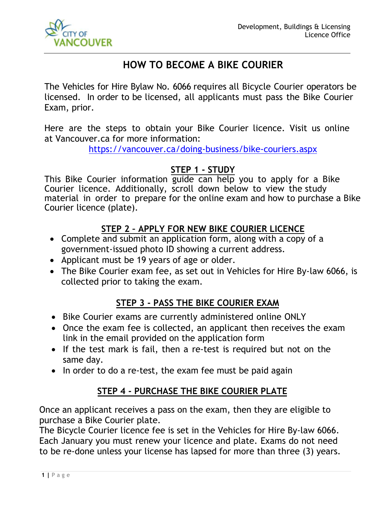

# **HOW TO BECOME A BIKE COURIER**

The Vehicles for Hire Bylaw No. 6066 requires all Bicycle Courier operators be licensed. In order to be licensed, all applicants must pass the Bike Courier Exam, prior.

Here are the steps to obtain your Bike Courier licence. Visit us online at Vancouver.ca for more information:

https://vancouver.ca/doing-business/bike-couriers.aspx

# **STEP 1 - STUDY**

This Bike Courier information guide can help you to apply for a Bike Courier licence. Additionally, scroll down below to view the study material in order to prepare for the online exam and how to purchase a Bike Courier licence (plate).

# **STEP 2 – APPLY FOR NEW BIKE COURIER LICENCE**

- Complete and submit an application form, along with a copy of a government-issued photo ID showing a current address.
- Applicant must be 19 years of age or older.
- The Bike Courier exam fee, as set out in Vehicles for Hire By-law 6066, is collected prior to taking the exam.

# **STEP 3 - PASS THE BIKE COURIER EXAM**

- Bike Courier exams are currently administered online ONLY
- Once the exam fee is collected, an applicant then receives the exam link in the email provided on the application form
- If the test mark is fail, then a re-test is required but not on the same day.
- In order to do a re-test, the exam fee must be paid again

# **STEP 4 - PURCHASE THE BIKE COURIER PLATE**

Once an applicant receives a pass on the exam, then they are eligible to purchase a Bike Courier plate.

The Bicycle Courier licence fee is set in the Vehicles for Hire By-law 6066. Each January you must renew your licence and plate. Exams do not need to be re-done unless your license has lapsed for more than three (3) years.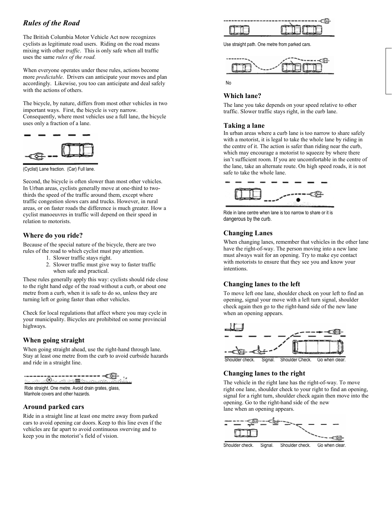# *Rules of the Road*

The British Columbia Motor Vehicle Act now recognizes cyclists as legitimate road users. Riding on the road means mixing with other *traffic*. This is only safe when all traffic uses the same *rules of the road.*

When everyone operates under these rules, actions become more *predictable*. Drivers can anticipate your moves and plan accordingly. Likewise, you too can anticipate and deal safely with the actions of others.

The bicycle, by nature, differs from most other vehicles in two important ways. First, the bicycle is very narrow. Consequently, where most vehicles use a full lane, the bicycle uses only a fraction of a lane.



(Cyclist) Lane fraction. (Car) Full lane.

Second, the bicycle is often slower than most other vehicles. In Urban areas, cyclists generally move at one-third to twothirds the speed of the traffic around them, except where traffic congestion slows cars and trucks. However, in rural areas, or on faster roads the difference is much greater. How a cyclist manoeuvres in traffic will depend on their speed in relation to motorists.

#### **Where do you ride?**

Because of the special nature of the bicycle, there are two rules of the road to which cyclist must pay attention.

- 1. Slower traffic stays right.
- 2. Slower traffic must give way to faster traffic when safe and practical.

These rules generally apply this way: cyclists should ride close to the right hand edge of the road without a curb, or about one metre from a curb, when it is safe to do so, unless they are turning left or going faster than other vehicles.

Check for local regulations that affect where you may cycle in your municipality. Bicycles are prohibited on some provincial highways.

### **When going straight**

When going straight ahead, use the right-hand through lane. Stay at least one metre from the curb to avoid curbside hazards and ride in a straight line.



Ride straight. One metre. Avoid drain grates, glass, Manhole covers and other hazards.

## **Around parked cars**

Ride in a straight line at least one metre away from parked cars to avoid opening car doors. Keep to this line even if the vehicles are far apart to avoid continuous swerving and to keep you in the motorist's field of vision.



Use straight path. One metre from parked cars.





#### **Which lane?**

The lane you take depends on your speed relative to other traffic. Slower traffic stays right, in the curb lane.

#### **Taking a lane**

In urban areas where a curb lane is too narrow to share safely with a motorist, it is legal to take the whole lane by riding in the centre of it. The action is safer than riding near the curb, which may encourage a motorist to squeeze by where there isn't sufficient room. If you are uncomfortable in the centre of the lane, take an alternate route. On high speed roads, it is not safe to take the whole lane.



Ride in lane centre when lane is too narrow to share or it is dangerous by the curb.

## **Changing Lanes**

When changing lanes, remember that vehicles in the other lane have the right-of-way. The person moving into a new lane must always wait for an opening. Try to make eye contact with motorists to ensure that they see you and know your intentions.

### **Changing lanes to the left**

To move left one lane, shoulder check on your left to find an opening, signal your move with a left turn signal, shoulder check again then go to the right-hand side of the new lane when an opening appears.



Shoulder check. Signal. Shoulder Check. Go when clear

## **Changing lanes to the right**

The vehicle in the right lane has the right-of-way. To move right one lane, shoulder check to your right to find an opening, signal for a right turn, shoulder check again then move into the opening. Go to the right-hand side of the new lane when an opening appears.



Shoulder check. Signal. Shoulder check. Go when clear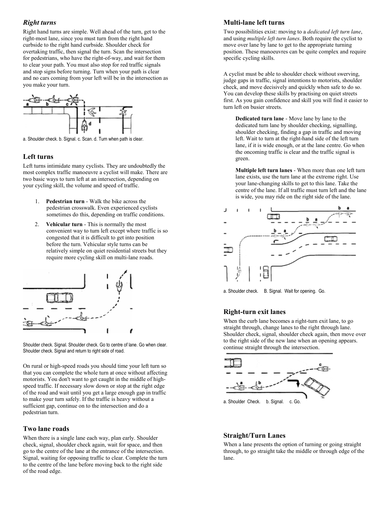#### *Right turns*

Right hand turns are simple. Well ahead of the turn, get to the right-most lane, since you must turn from the right hand curbside to the right hand curbside. Shoulder check for overtaking traffic, then signal the turn. Scan the intersection for pedestrians, who have the right-of-way, and wait for them to clear your path. You must also stop for red traffic signals and stop signs before turning. Turn when your path is clear and no cars coming from your left will be in the intersection as you make your turn.



a. Shoulder check. b. Signal. c. Scan. d. Turn when path is clear.

### **Left turns**

Left turns intimidate many cyclists. They are undoubtedly the most complex traffic manoeuvre a cyclist will make. There are two basic ways to turn left at an intersection, depending on your cycling skill, the volume and speed of traffic.

- 1. **Pedestrian turn** Walk the bike across the pedestrian crosswalk. Even experienced cyclists sometimes do this, depending on traffic conditions.
- 2. **Vehicular turn** This is normally the most convenient way to turn left except where traffic is so congested that it is difficult to get into position before the turn. Vehicular style turns can be relatively simple on quiet residential streets but they require more cycling skill on multi-lane roads.



Shoulder check. Signal. Shoulder check. Go to centre of lane. Go when clear. Shoulder check. Signal and return to right side of road.

On rural or high-speed roads you should time your left turn so that you can complete the whole turn at once without affecting motorists. You don't want to get caught in the middle of highspeed traffic. If necessary slow down or stop at the right edge of the road and wait until you get a large enough gap in traffic to make your turn safely. If the traffic is heavy without a sufficient gap, continue on to the intersection and do a pedestrian turn.

#### **Two lane roads**

When there is a single lane each way, plan early. Shoulder check, signal, shoulder check again, wait for space, and then go to the centre of the lane at the entrance of the intersection. Signal, waiting for opposing traffic to clear. Complete the turn to the centre of the lane before moving back to the right side of the road edge.

#### **Multi-lane left turns**

Two possibilities exist: moving to a *dedicated left turn lane*, and using *multiple left turn lanes*. Both require the cyclist to move over lane by lane to get to the appropriate turning position. These manoeuvres can be quite complex and require specific cycling skills.

A cyclist must be able to shoulder check without swerving, judge gaps in traffic, signal intentions to motorists, shoulder check, and move decisively and quickly when safe to do so. You can develop these skills by practising on quiet streets first. As you gain confidence and skill you will find it easier to turn left on busier streets.

**Dedicated turn lane** - Move lane by lane to the dedicated turn lane by shoulder checking, signalling, shoulder checking, finding a gap in traffic and moving left. Wait to turn at the right-hand side of the left turn lane, if it is wide enough, or at the lane centre. Go when the oncoming traffic is clear and the traffic signal is green.

**Multiple left turn lanes** - When more than one left turn lane exists, use the turn lane at the extreme right. Use your lane-changing skills to get to this lane. Take the centre of the lane. If all traffic must turn left and the lane is wide, you may ride on the right side of the lane.



a. Shoulder check. B. Signal. Wait for opening. Go.

## **Right-turn exit lanes**

When the curb lane becomes a right-turn exit lane, to go straight through, change lanes to the right through lane. Shoulder check, signal, shoulder check again, then move over to the right side of the new lane when an opening appears. continue straight through the intersection.



#### **Straight/Turn Lanes**

When a lane presents the option of turning or going straight through, to go straight take the middle or through edge of the lane.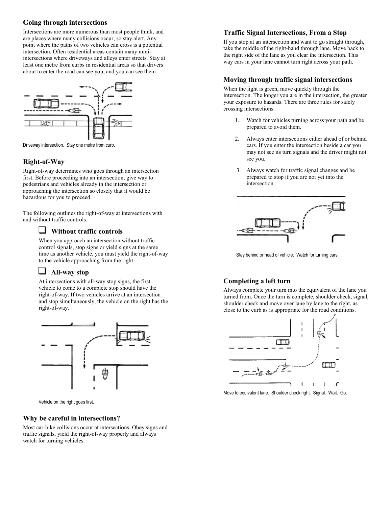#### **Going through intersections**

Intersections are more numerous than most people think, and are places where many collisions occur, so stay alert. Any point where the paths of two vehicles can cross is a potential intersection. Often residential areas contain many miniintersections where driveways and alleys enter streets. Stay at least one metre from curbs in residential areas so that drivers about to enter the road can see you, and you can see them.



Driveway intersection. Stay one metre from curb.

### **Right-of-Way**

Right-of-way determines who goes through an intersection first. Before proceeding into an intersection, give way to pedestrians and vehicles already in the intersection or approaching the intersection so closely that it would be hazardous for you to proceed.

The following outlines the right-of-way at intersections with and without traffic controls.

### **Without traffic controls**

When you approach an intersection without traffic control signals, stop signs or yield signs at the same time as another vehicle, you must yield the right-of-way to the vehicle approaching from the right.

# **All-way stop**

At intersections with all-way stop signs, the first vehicle to come to a complete stop should have the right-of-way. If two vehicles arrive at an intersection and stop simultaneously, the vehicle on the right has the right-of-way.



Vehicle on the right goes first.

#### **Why be careful in intersections?**

Most car-bike collisions occur at intersections. Obey signs and traffic signals, yield the right-of-way properly and always watch for turning vehicles.

#### **Traffic Signal Intersections, From a Stop**

If you stop at an intersection and want to go straight through, take the middle of the right-hand through lane. Move back to the right side of the lane as you clear the intersection. This way cars in your lane cannot turn right across your path.

#### **Moving through traffic signal intersections**

When the light is green, move quickly through the intersection. The longer you are in the intersection, the greater your exposure to hazards. There are three rules for safely crossing intersections.

- 1. Watch for vehicles turning across your path and be prepared to avoid them.
- 2. Always enter intersections either ahead of or behind cars. If you enter the intersection beside a car you may not see its turn signals and the driver might not see you.
- 3. Always watch for traffic signal changes and be prepared to stop if you are not yet into the intersection.



Stay behind or head of vehicle. Watch for turning cars.

### **Completing a left turn**

Always complete your turn into the equivalent of the lane you turned from. Once the turn is complete, shoulder check, signal, shoulder check and move over lane by lane to the right, as close to the curb as is appropriate for the road conditions.



Move to equivalent lane. Shoulder check right. Signal. Wait. Go.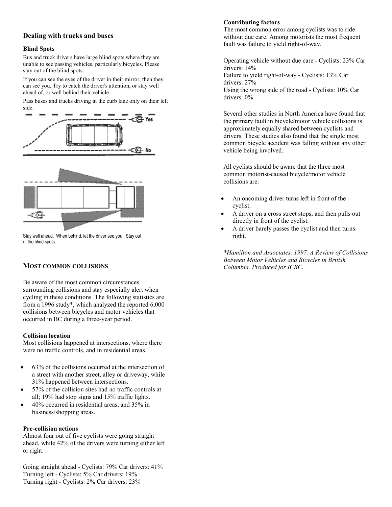#### **Dealing with trucks and buses**

#### **Blind Spots**

Bus and truck drivers have large blind spots where they are unable to see passing vehicles, particularly bicycles. Please stay out of the blind spots.

If you can see the eyes of the driver in their mirror, then they can see you. Try to catch the driver's attention, or stay well ahead of, or well behind their vehicle.

Pass buses and trucks driving in the curb lane only on their left side.



Stay well ahead. When behind, let the driver see you. Stay out of the blind spots.

#### **MOST COMMON COLLISIONS**

Be aware of the most common circumstances surrounding collisions and stay especially alert when cycling in these conditions. The following statistics are from a 1996 study\*, which analyzed the reported 6,000 collisions between bicycles and motor vehicles that occurred in BC during a three-year period.

#### **Collision location**

Most collisions happened at intersections, where there were no traffic controls, and in residential areas.

- 63% of the collisions occurred at the intersection of a street with another street, alley or driveway, while 31% happened between intersections.
- 57% of the collision sites had no traffic controls at all; 19% had stop signs and 15% traffic lights.
- 40% occurred in residential areas, and 35% in business/shopping areas.

#### **Pre-collision actions**

Almost four out of five cyclists were going straight ahead, while 42% of the drivers were turning either left or right.

Going straight ahead - Cyclists: 79% Car drivers: 41% Turning left - Cyclists: 5% Car drivers: 19% Turning right - Cyclists: 2% Car drivers: 23%

#### **Contributing factors**

The most common error among cyclists was to ride without due care. Among motorists the most frequent fault was failure to yield right-of-way.

Operating vehicle without due care - Cyclists: 23% Car drivers: 14% Failure to yield right-of-way - Cyclists: 13% Car drivers: 27% Using the wrong side of the road - Cyclists: 10% Car drivers: 0%

Several other studies in North America have found that the primary fault in bicycle/motor vehicle collisions is approximately equally shared between cyclists and drivers. These studies also found that the single most common bicycle accident was falling without any other vehicle being involved.

All cyclists should be aware that the three most common motorist-caused bicycle/motor vehicle collisions are:

- An oncoming driver turns left in front of the cyclist.
- A driver on a cross street stops, and then pulls out directly in front of the cyclist.
- A driver barely passes the cyclist and then turns right.

*\*Hamilton and Associates. 1997. A Review of Collisions Between Motor Vehicles and Bicycles in British Columbia. Produced for ICBC.*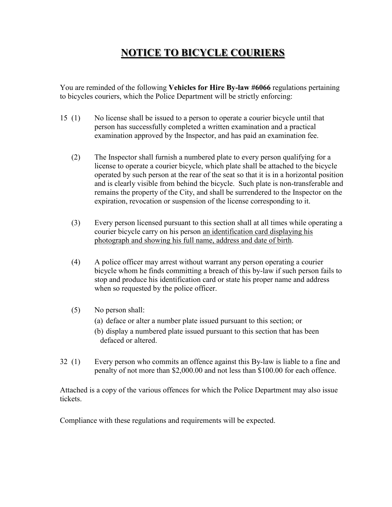# **NOTICE TO BICYCLE COURIERS**

You are reminded of the following **Vehicles for Hire By-law #6066** regulations pertaining to bicycles couriers, which the Police Department will be strictly enforcing:

- 15 (1) No license shall be issued to a person to operate a courier bicycle until that person has successfully completed a written examination and a practical examination approved by the Inspector, and has paid an examination fee.
	- (2) The Inspector shall furnish a numbered plate to every person qualifying for a license to operate a courier bicycle, which plate shall be attached to the bicycle operated by such person at the rear of the seat so that it is in a horizontal position and is clearly visible from behind the bicycle. Such plate is non-transferable and remains the property of the City, and shall be surrendered to the Inspector on the expiration, revocation or suspension of the license corresponding to it.
	- (3) Every person licensed pursuant to this section shall at all times while operating a courier bicycle carry on his person an identification card displaying his photograph and showing his full name, address and date of birth.
	- (4) A police officer may arrest without warrant any person operating a courier bicycle whom he finds committing a breach of this by-law if such person fails to stop and produce his identification card or state his proper name and address when so requested by the police officer.
	- (5) No person shall:
		- (a) deface or alter a number plate issued pursuant to this section; or
		- (b) display a numbered plate issued pursuant to this section that has been defaced or altered.
- 32 (1) Every person who commits an offence against this By-law is liable to a fine and penalty of not more than \$2,000.00 and not less than \$100.00 for each offence.

Attached is a copy of the various offences for which the Police Department may also issue tickets.

Compliance with these regulations and requirements will be expected.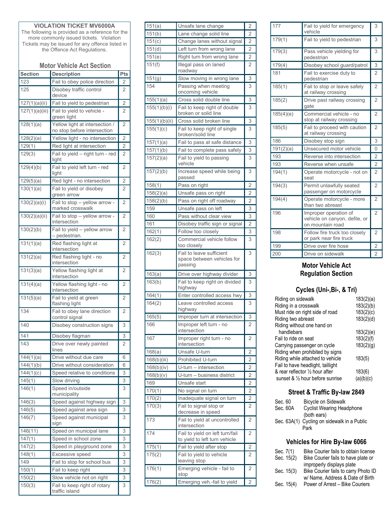### **VIOLATION TICKET MV6000A**

The following is provided as a reference for the more commonly issued tickets. Violation Tickets may be issued for any offence listed in the Offence Act Regulations.

#### **Motor Vehicle Act Section**

| <b>Section</b>        | <b>Description</b>                                            | Pts            |
|-----------------------|---------------------------------------------------------------|----------------|
| 123                   | Fail to obey police direction                                 | 2              |
| 125                   | Disobey traffic control<br>device                             | 2              |
| 127(1)(a)(ii)         | Fail to yield to pedestrian                                   | $\overline{2}$ |
| 127(1)(a)(iii)        | Fail to yield to vehicle -<br>green light                     | 2              |
| 128(1)(a)             | Yellow light at intersection /<br>no stop before intersection | 2              |
| 128(2)(a)             | Yellow light - no intersection                                | $\overline{2}$ |
| 129(1)                | Red light at intersection                                     | $\overline{c}$ |
| 129(3)                | Fail to yield - right turn - red<br>light                     | 2              |
| 129(4)(b)             | Fail to yield left turn - red<br>light                        | 2              |
| 129(5)(a)             | Red light - no intersection                                   | $\overline{2}$ |
| 130(1)(a)             | Fail to yield or disobey<br>green arrow                       | 2              |
| 130(2)(a)(i)          | Fail to stop - yellow arrow -<br>marked crosswalk             | 2              |
| 130(2)(a)(ii)         | Fail to stop - yellow arrow -<br>intersection                 | 2              |
| 130(2)(b)             | Fail to yield - yellow arrow<br>- pedestrian.                 | $\overline{2}$ |
| 131(1)(a)             | Red flashing light at<br>intersection                         | 2              |
| 131(2)(a)             | Red flashing light - no<br>intersection                       | 2              |
| 131(3)(a)             | Yellow flashing light at<br>intersection                      | 2              |
| 131(4)(a)             | Yellow flashing light - no<br>intersection                    | 2              |
| 131(5)(a)             | Fail to yield at green<br>flashing light                      | 2              |
| 134                   | Fail to obey lane direction<br>control signal                 | 2              |
| 140                   | Disobey construction signs                                    | 3              |
| 141                   | Disobey flagman                                               | 3              |
| 143                   | Drive over newly painted<br>lines                             | $\overline{2}$ |
| $\frac{1}{144(1)(a)}$ | Drive without due care                                        | 6              |
| 144(1)(b)             | Drive without consideration                                   | 6              |
| 144(1)(c)             | Speed relative to conditions                                  | 3              |
| 145(1)                | Slow driving                                                  | 3              |
| 146(1)                | Speed in/outside<br>municipality                              | 3              |
| 146(3)                | Speed against highway sign                                    | 3              |
| 146(5)                | Speed against area sign                                       | 3              |
| 146(7)                | Speed against municipal<br>sign                               | 3              |
| 146(11)               | Speed on municipal lane                                       | 3              |
| 147(1)                | Speed in school zone                                          | 3              |
| 147(2)                | Speed in playground zone                                      | 3              |
| 148(1)                | Excessive speed                                               | 3              |
| 149                   | Fail to stop for school bus                                   | 3              |
| 150(1)                | Fail to keep right                                            | 3              |
| 150(2)                | Slow vehicle not on right                                     | 3              |
| 150(3)                | Fail to keep right of rotary<br>traffic island                | 3              |

| 151(a)        | Unsafe lane change                                                | $\overline{c}$ |
|---------------|-------------------------------------------------------------------|----------------|
| 151(b)        | Lane change solid line                                            | $\overline{2}$ |
| 151(c)        | Change lanes without signal                                       | $\overline{2}$ |
| 151(d)        | Left turn from wrong lane                                         | $\overline{2}$ |
| 151(e)        | Right turn from wrong lane                                        | $\overline{2}$ |
| 151(f)        | Illegal pass on laned<br>roadway                                  | 2              |
| 151(g)        | Slow moving in wrong lane                                         | 3              |
| 154           | Passing when meeting<br>oncoming vehicle                          | 3              |
| 155(1)(a)     | Cross solid double line                                           | 3              |
| 155(1)(b)(i)  | Fail to keep right of double<br>broken or solid line              | 3              |
| 155(1)(b)(ii) | Cross solid broken line                                           | 3              |
| 155(1)(c)     | Fail to keep right of single<br>broken/solid line                 | 3              |
| 157(1)(a)     | Fail to pass at safe distance                                     | 3              |
| 157(1)(b)     | Fail to complete pass safely                                      | 3              |
| 157(2)(a)     | Fail to yield to passing<br>vehicle                               | 3              |
| 157(2)(b)     | Increase speed while being<br>passed                              | 3              |
| 158(1)        | Pass on right                                                     | $\overline{2}$ |
| 158(2)(a)     | Unsafe pass on right                                              | $\overline{2}$ |
| 158(2)(b)     | Pass on right off roadway                                         | $\overline{2}$ |
| 159           | Unsafe pass on left                                               | 3              |
| 160           | Pass without clear view                                           | 3              |
| 161           | Disobey traffic sign or signal                                    | $\overline{2}$ |
| 162(1)        | Follow too closely                                                | 3              |
| 162(2)        | Commercial vehicle follow                                         | 3              |
|               | too closely                                                       |                |
| 162(3)        | Fail to leave sufficient<br>space between vehicles for<br>passing | 3              |
| 163(a)        | Drive over highway divider                                        | 3              |
| 163(b)        | Fail to keep right on divided<br>highway                          | 3              |
| 164(1)        | Enter controlled access hwy                                       | 3              |
| 164(2)        | Leave controlled access<br>highway                                | 3              |
| 165(5)        | Improper turn at intersection                                     | 3              |
| 166           | Improper left turn - no<br>intersection                           | 2              |
| 167           | Improper right turn - no<br>intersection                          | 2              |
| 168(a)        | Unsafe U-turn                                                     | $\overline{2}$ |
| 168(b)(iii)   | Prohibited U-turn                                                 | $\overline{2}$ |
| 168(b)(iv)    | U-turn - intersection                                             | $\overline{c}$ |
| 168(b)(v)     | U-turn - business district                                        | $\overline{2}$ |
| 169           | Unsafe start                                                      | $\overline{2}$ |
| 170(1)        | No signal on turn                                                 | $\overline{2}$ |
| 170(2)        | Inadequate signal on turn                                         | $\overline{2}$ |
| 170(3)        | Fail to signal stop or<br>decrease in speed                       | $\overline{2}$ |
| 173           | Fail to yield at uncontrolled<br>intersection                     | 2              |
| 174           | Fail to yield on left turn/fail<br>to yield to left turn vehicle  | 2              |
| 175(1)        | Fail to yield after stop                                          | 2              |
| 175(2)        | Fail to yield to vehicle<br>leaving stop                          | 2              |
| 176(1)        | Emerging vehicle - fail to<br>stop                                | $\overline{2}$ |
| 176(2)        | Emerging veh.-fail to yield                                       | $\overline{c}$ |

| 177              | Fail to yield for emergency<br>vehicle                                     | 3              |
|------------------|----------------------------------------------------------------------------|----------------|
| 179(1)           | Fail to yield to pedestrian                                                | 3              |
| 179(3)           | Pass vehicle yielding for<br>pedestrian                                    | 3              |
| 179(4)           | Disobey school guard/patrol                                                | 3              |
| 181              | Fail to exercise duty to<br>pedestrian                                     | $\overline{2}$ |
| 185(1)           | Fail to stop or leave safely<br>at railway crossing                        | $\overline{2}$ |
| 185(2)           | Drive past railway crossing<br>gate                                        | $\overline{2}$ |
| 185(4)(e)        | Commercial vehicle - no<br>stop at railway crossing                        | $\overline{2}$ |
| 185(5)           | Fail to proceed with caution<br>at railway crossing                        | $\overline{2}$ |
| 186              | Disobey stop sign                                                          | 3              |
| 191(2)(a)        | Unsecured motor vehicle                                                    | $\Omega$       |
| 193              | Reverse into intersection                                                  | $\overline{2}$ |
| 193              | Reverse when unsafe                                                        | $\overline{c}$ |
| 194(1)           | Operate motorcycle - not on<br>seat                                        | $\overline{2}$ |
| 194(3)           | Permit unlawfully seated<br>passenger on motorcycle                        | $\overline{2}$ |
| 194(4)           | Operate motorcycle - more<br>than two abreast                              | $\overline{2}$ |
| 196              | Improper operation of<br>vehicle on canyon, defile, or<br>on mountain road | $\overline{2}$ |
| 198              | Follow fire truck too closely<br>or park near fire truck                   | $\overline{2}$ |
| 199              | Drive over fire hose                                                       | 2              |
| $\overline{200}$ | Drive on sidewalk                                                          | $\overline{2}$ |

## **Motor Vehicle Act Regulation Section**

# **Cycles (Uni-,Bi-, & Tri)**

| Riding on sidewalk                         | 183(2)(a) |
|--------------------------------------------|-----------|
| Riding in a crosswalk                      | 183(2)(b) |
| Must ride on right side of road            | 183(2)(c) |
| Riding two abreast                         | 183(2)(d) |
| Riding without one hand on                 |           |
| handlebars                                 | 183(2)(e) |
| Fail to ride on seat                       | 183(2)(f) |
| Carrying passenger on cycle                | 183(2)(g) |
| Riding when prohibited by signs            |           |
| Riding while attached to vehicle           | 183(5)    |
| Fail to have headlight, taillight          |           |
| & rear reflector 1/2 hour after            | 183(6)    |
| sunset & $\frac{1}{2}$ hour before sunrise | (a)(b)(c) |

# **Street & Traffic By-law 2849**

| Sec. 60  | Bicycle on Sidewalk                         |
|----------|---------------------------------------------|
| Sec. 60A | <b>Cyclist Wearing Headphone</b>            |
|          | (both ears)                                 |
|          | Sec. 63A(1) Cycling on sidewalk in a Public |
|          | Park                                        |

## **Vehicles for Hire By-law 6066**

| Sec. 7(1)  | Bike Courier fails to obtain license |
|------------|--------------------------------------|
| Sec. 15(2) | Bike Courier fails to have plate or  |
|            | improperly displays plate            |
| Sec. 15(3) | Bike Courier fails to carry Photo ID |
|            | w/ Name, Address & Date of Birth     |
| Sec. 15(4) | Power of Arrest - Bike Couriers      |
|            |                                      |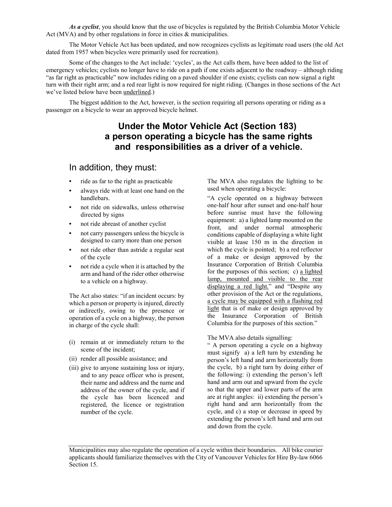*As a cyclist*, you should know that the use of bicycles is regulated by the British Columbia Motor Vehicle Act (MVA) and by other regulations in force in cities & municipalities.

The Motor Vehicle Act has been updated, and now recognizes cyclists as legitimate road users (the old Act dated from 1957 when bicycles were primarily used for recreation).

Some of the changes to the Act include: 'cycles', as the Act calls them, have been added to the list of emergency vehicles; cyclists no longer have to ride on a path if one exists adjacent to the roadway – although riding "as far right as practicable" now includes riding on a paved shoulder if one exists; cyclists can now signal a right turn with their right arm; and a red rear light is now required for night riding. (Changes in those sections of the Act we've listed below have been underlined.)

The biggest addition to the Act, however, is the section requiring all persons operating or riding as a passenger on a bicycle to wear an approved bicycle helmet.

# **Under the Motor Vehicle Act (Section 183) a person operating a bicycle has the same rights and responsibilities as a driver of a vehicle.**

# In addition, they must:

- **•** ride as far to the right as practicable
- **•** always ride with at least one hand on the handlebars.
- **•** not ride on sidewalks, unless otherwise directed by signs
- **•** not ride abreast of another cyclist
- **•** not carry passengers unless the bicycle is designed to carry more than one person
- **•** not ride other than astride a regular seat of the cycle
- **•** not ride a cycle when it is attached by the arm and hand of the rider other otherwise to a vehicle on a highway.

The Act also states: "if an incident occurs: by which a person or property is injured, directly or indirectly, owing to the presence or operation of a cycle on a highway, the person in charge of the cycle shall:

- (i) remain at or immediately return to the scene of the incident;
- (ii) render all possible assistance; and
- (iii) give to anyone sustaining loss or injury, and to any peace officer who is present, their name and address and the name and address of the owner of the cycle, and if the cycle has been licenced and registered, the licence or registration number of the cycle.

The MVA also regulates the lighting to be used when operating a bicycle:

"A cycle operated on a highway between one-half hour after sunset and one-half hour before sunrise must have the following equipment: a) a lighted lamp mounted on the front, and under normal atmospheric conditions capable of displaying a white light visible at lease 150 m in the direction in which the cycle is pointed; b) a red reflector of a make or design approved by the Insurance Corporation of British Columbia for the purposes of this section; c) a lighted lamp, mounted and visible to the rear displaying a red light." and "Despite any other provision of the Act or the regulations, a cycle may be equipped with a flashing red light that is of make or design approved by the Insurance Corporation of British Columbia for the purposes of this section."

The MVA also details signalling:

" A person operating a cycle on a highway must signify a) a left turn by extending he person's left hand and arm horizontally from the cycle, b) a right turn by doing either of the following: i) extending the person's left hand and arm out and upward from the cycle so that the upper and lower parts of the arm are at right angles: ii) extending the person's right hand and arm horizontally from the cycle, and c) a stop or decrease in speed by extending the person's left hand and arm out and down from the cycle.

Municipalities may also regulate the operation of a cycle within their boundaries. All bike courier applicants should familiarize themselves with the City of Vancouver Vehicles for Hire By-law 6066 Section 15.